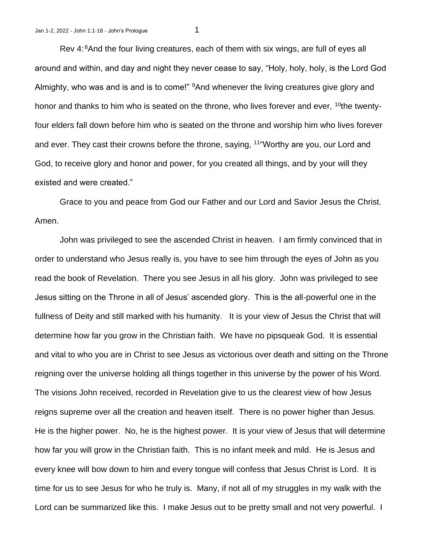Rev 4: <sup>8</sup>And the four living creatures, each of them with six wings, are full of eyes all around and within, and day and night they never cease to say, "Holy, holy, holy, is the Lord God Almighty, who was and is and is to come!" <sup>9</sup>And whenever the living creatures give glory and honor and thanks to him who is seated on the throne, who lives forever and ever, <sup>10</sup>the twentyfour elders fall down before him who is seated on the throne and worship him who lives forever and ever. They cast their crowns before the throne, saying, <sup>11</sup>"Worthy are you, our Lord and God, to receive glory and honor and power, for you created all things, and by your will they existed and were created."

Grace to you and peace from God our Father and our Lord and Savior Jesus the Christ. Amen.

John was privileged to see the ascended Christ in heaven. I am firmly convinced that in order to understand who Jesus really is, you have to see him through the eyes of John as you read the book of Revelation. There you see Jesus in all his glory. John was privileged to see Jesus sitting on the Throne in all of Jesus' ascended glory. This is the all-powerful one in the fullness of Deity and still marked with his humanity. It is your view of Jesus the Christ that will determine how far you grow in the Christian faith. We have no pipsqueak God. It is essential and vital to who you are in Christ to see Jesus as victorious over death and sitting on the Throne reigning over the universe holding all things together in this universe by the power of his Word. The visions John received, recorded in Revelation give to us the clearest view of how Jesus reigns supreme over all the creation and heaven itself. There is no power higher than Jesus. He is the higher power. No, he is the highest power. It is your view of Jesus that will determine how far you will grow in the Christian faith. This is no infant meek and mild. He is Jesus and every knee will bow down to him and every tongue will confess that Jesus Christ is Lord. It is time for us to see Jesus for who he truly is. Many, if not all of my struggles in my walk with the Lord can be summarized like this. I make Jesus out to be pretty small and not very powerful. I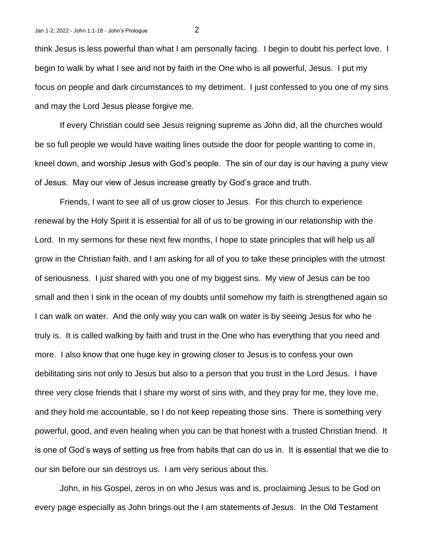think Jesus is less powerful than what I am personally facing. I begin to doubt his perfect love. I begin to walk by what I see and not by faith in the One who is all powerful, Jesus. I put my focus on people and dark circumstances to my detriment. I just confessed to you one of my sins and may the Lord Jesus please forgive me.

If every Christian could see Jesus reigning supreme as John did, all the churches would be so full people we would have waiting lines outside the door for people wanting to come in, kneel down, and worship Jesus with God's people. The sin of our day is our having a puny view of Jesus. May our view of Jesus increase greatly by God's grace and truth.

Friends, I want to see all of us grow closer to Jesus. For this church to experience renewal by the Holy Spirit it is essential for all of us to be growing in our relationship with the Lord. In my sermons for these next few months, I hope to state principles that will help us all grow in the Christian faith, and I am asking for all of you to take these principles with the utmost of seriousness. I just shared with you one of my biggest sins. My view of Jesus can be too small and then I sink in the ocean of my doubts until somehow my faith is strengthened again so I can walk on water. And the only way you can walk on water is by seeing Jesus for who he truly is. It is called walking by faith and trust in the One who has everything that you need and more. I also know that one huge key in growing closer to Jesus is to confess your own debilitating sins not only to Jesus but also to a person that you trust in the Lord Jesus. I have three very close friends that I share my worst of sins with, and they pray for me, they love me, and they hold me accountable, so I do not keep repeating those sins. There is something very powerful, good, and even healing when you can be that honest with a trusted Christian friend. It is one of God's ways of setting us free from habits that can do us in. It is essential that we die to our sin before our sin destroys us. I am very serious about this.

John, in his Gospel, zeros in on who Jesus was and is, proclaiming Jesus to be God on every page especially as John brings out the I am statements of Jesus. In the Old Testament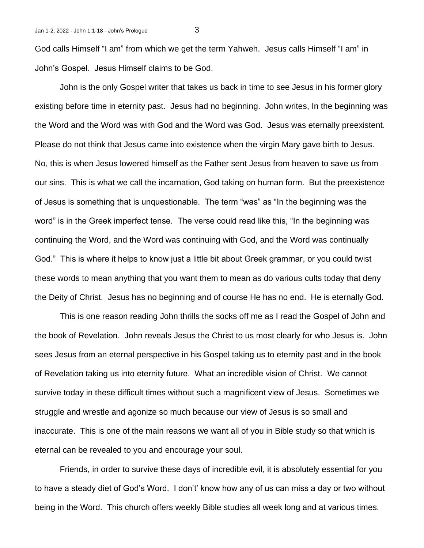God calls Himself "I am" from which we get the term Yahweh. Jesus calls Himself "I am" in John's Gospel. Jesus Himself claims to be God.

John is the only Gospel writer that takes us back in time to see Jesus in his former glory existing before time in eternity past. Jesus had no beginning. John writes, In the beginning was the Word and the Word was with God and the Word was God. Jesus was eternally preexistent. Please do not think that Jesus came into existence when the virgin Mary gave birth to Jesus. No, this is when Jesus lowered himself as the Father sent Jesus from heaven to save us from our sins. This is what we call the incarnation, God taking on human form. But the preexistence of Jesus is something that is unquestionable. The term "was" as "In the beginning was the word" is in the Greek imperfect tense. The verse could read like this, "In the beginning was continuing the Word, and the Word was continuing with God, and the Word was continually God." This is where it helps to know just a little bit about Greek grammar, or you could twist these words to mean anything that you want them to mean as do various cults today that deny the Deity of Christ. Jesus has no beginning and of course He has no end. He is eternally God.

This is one reason reading John thrills the socks off me as I read the Gospel of John and the book of Revelation. John reveals Jesus the Christ to us most clearly for who Jesus is. John sees Jesus from an eternal perspective in his Gospel taking us to eternity past and in the book of Revelation taking us into eternity future. What an incredible vision of Christ. We cannot survive today in these difficult times without such a magnificent view of Jesus. Sometimes we struggle and wrestle and agonize so much because our view of Jesus is so small and inaccurate. This is one of the main reasons we want all of you in Bible study so that which is eternal can be revealed to you and encourage your soul.

Friends, in order to survive these days of incredible evil, it is absolutely essential for you to have a steady diet of God's Word. I don't' know how any of us can miss a day or two without being in the Word. This church offers weekly Bible studies all week long and at various times.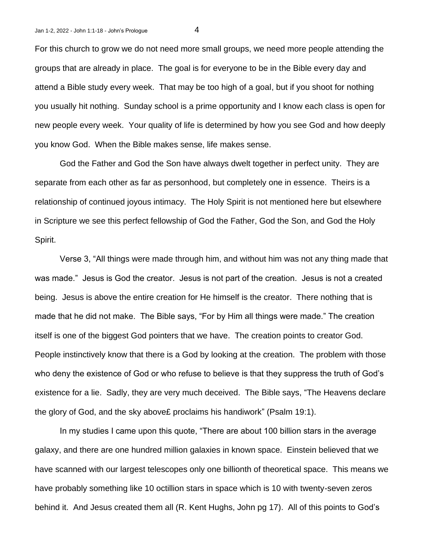For this church to grow we do not need more small groups, we need more people attending the groups that are already in place. The goal is for everyone to be in the Bible every day and attend a Bible study every week. That may be too high of a goal, but if you shoot for nothing you usually hit nothing. Sunday school is a prime opportunity and I know each class is open for new people every week. Your quality of life is determined by how you see God and how deeply you know God. When the Bible makes sense, life makes sense.

God the Father and God the Son have always dwelt together in perfect unity. They are separate from each other as far as personhood, but completely one in essence. Theirs is a relationship of continued joyous intimacy. The Holy Spirit is not mentioned here but elsewhere in Scripture we see this perfect fellowship of God the Father, God the Son, and God the Holy Spirit.

Verse 3, "All things were made through him, and without him was not any thing made that was made." Jesus is God the creator. Jesus is not part of the creation. Jesus is not a created being. Jesus is above the entire creation for He himself is the creator. There nothing that is made that he did not make. The Bible says, "For by Him all things were made." The creation itself is one of the biggest God pointers that we have. The creation points to creator God. People instinctively know that there is a God by looking at the creation. The problem with those who deny the existence of God or who refuse to believe is that they suppress the truth of God's existence for a lie. Sadly, they are very much deceived. The Bible says, "The Heavens declare the glory of God, and the sky above£ proclaims his handiwork" (Psalm 19:1).

In my studies I came upon this quote, "There are about 100 billion stars in the average galaxy, and there are one hundred million galaxies in known space. Einstein believed that we have scanned with our largest telescopes only one billionth of theoretical space. This means we have probably something like 10 octillion stars in space which is 10 with twenty-seven zeros behind it. And Jesus created them all (R. Kent Hughs, John pg 17). All of this points to God's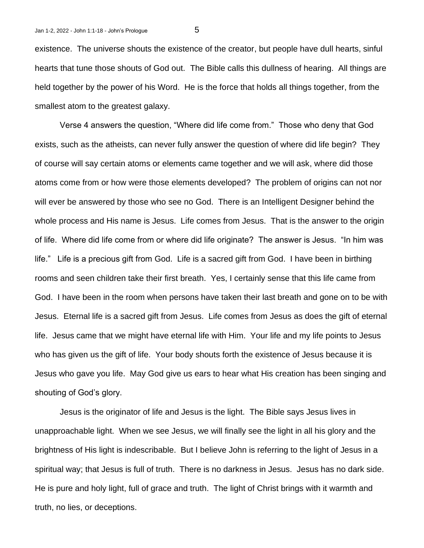existence. The universe shouts the existence of the creator, but people have dull hearts, sinful hearts that tune those shouts of God out. The Bible calls this dullness of hearing. All things are held together by the power of his Word. He is the force that holds all things together, from the smallest atom to the greatest galaxy.

Verse 4 answers the question, "Where did life come from." Those who deny that God exists, such as the atheists, can never fully answer the question of where did life begin? They of course will say certain atoms or elements came together and we will ask, where did those atoms come from or how were those elements developed? The problem of origins can not nor will ever be answered by those who see no God. There is an Intelligent Designer behind the whole process and His name is Jesus. Life comes from Jesus. That is the answer to the origin of life. Where did life come from or where did life originate? The answer is Jesus. "In him was life." Life is a precious gift from God. Life is a sacred gift from God. I have been in birthing rooms and seen children take their first breath. Yes, I certainly sense that this life came from God. I have been in the room when persons have taken their last breath and gone on to be with Jesus. Eternal life is a sacred gift from Jesus. Life comes from Jesus as does the gift of eternal life. Jesus came that we might have eternal life with Him. Your life and my life points to Jesus who has given us the gift of life. Your body shouts forth the existence of Jesus because it is Jesus who gave you life. May God give us ears to hear what His creation has been singing and shouting of God's glory.

Jesus is the originator of life and Jesus is the light. The Bible says Jesus lives in unapproachable light. When we see Jesus, we will finally see the light in all his glory and the brightness of His light is indescribable. But I believe John is referring to the light of Jesus in a spiritual way; that Jesus is full of truth. There is no darkness in Jesus. Jesus has no dark side. He is pure and holy light, full of grace and truth. The light of Christ brings with it warmth and truth, no lies, or deceptions.